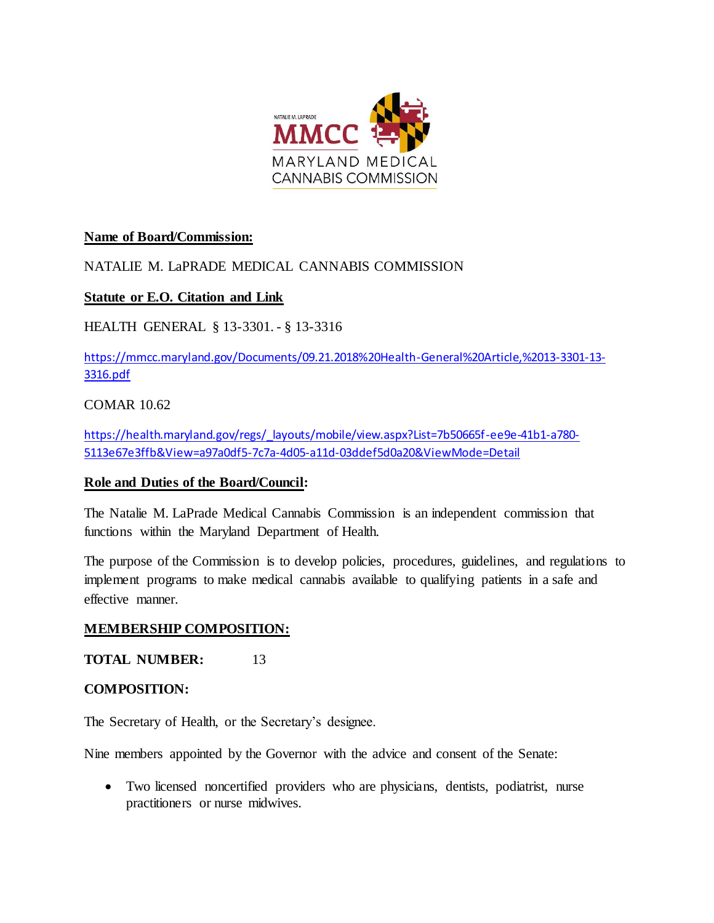

# **Name of Board/Commission:**

# NATALIE M. LaPRADE MEDICAL CANNABIS COMMISSION

## **Statute or E.O. Citation and Link**

HEALTH GENERAL § 13-3301. - § 13-3316

[https://mmcc.maryland.gov/Documents/09.21.2018%20Health-General%20Article,%2013-3301-13-](https://mmcc.maryland.gov/Documents/09.21.2018%20Health-General%20Article,%2013-3301-13-3316.pdf) [3316.pdf](https://mmcc.maryland.gov/Documents/09.21.2018%20Health-General%20Article,%2013-3301-13-3316.pdf)

## COMAR 10.62

[https://health.maryland.gov/regs/\\_layouts/mobile/view.aspx?List=7b50665f-ee9e-41b1-a780-](https://health.maryland.gov/regs/_layouts/mobile/view.aspx?List=7b50665f-ee9e-41b1-a780-5113e67e3ffb&View=a97a0df5-7c7a-4d05-a11d-03ddef5d0a20&ViewMode=Detail) [5113e67e3ffb&View=a97a0df5-7c7a-4d05-a11d-03ddef5d0a20&ViewMode=Detail](https://health.maryland.gov/regs/_layouts/mobile/view.aspx?List=7b50665f-ee9e-41b1-a780-5113e67e3ffb&View=a97a0df5-7c7a-4d05-a11d-03ddef5d0a20&ViewMode=Detail)

## **Role and Duties of the Board/Council:**

The Natalie M. LaPrade Medical Cannabis Commission is an independent commission that functions within the Maryland Department of Health.

The purpose of the Commission is to develop policies, procedures, guidelines, and regulations to implement programs to make medical cannabis available to qualifying patients in a safe and effective manner.

## **MEMBERSHIP COMPOSITION:**

**TOTAL NUMBER:** 13

#### **COMPOSITION:**

The Secretary of Health, or the Secretary's designee.

Nine members appointed by the Governor with the advice and consent of the Senate:

 Two licensed noncertified providers who are physicians, dentists, podiatrist, nurse practitioners or nurse midwives.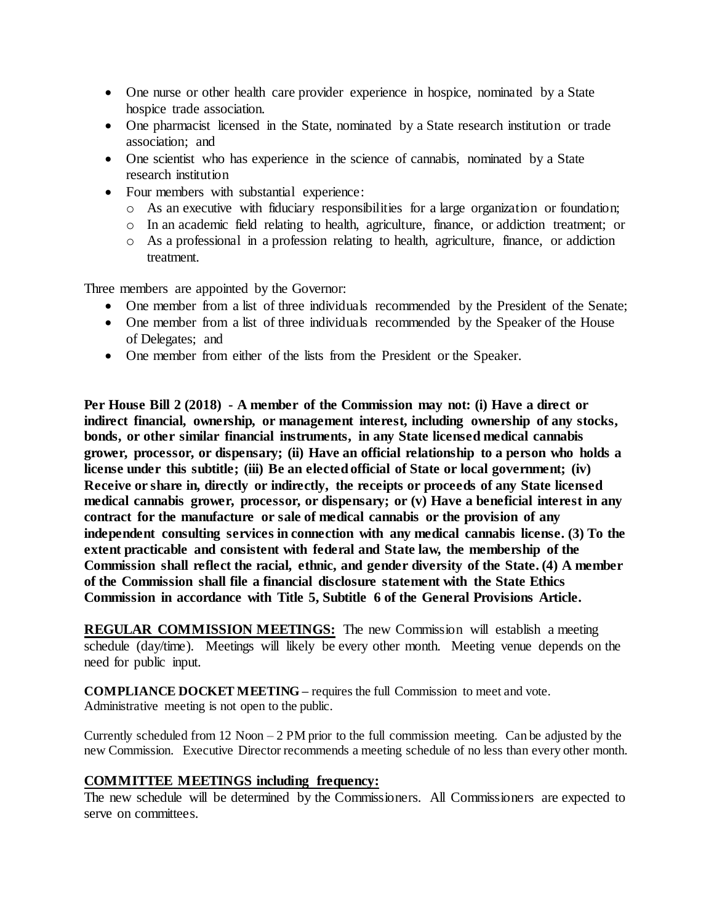- One nurse or other health care provider experience in hospice, nominated by a State hospice trade association.
- One pharmacist licensed in the State, nominated by a State research institution or trade association; and
- One scientist who has experience in the science of cannabis, nominated by a State research institution
- Four members with substantial experience:
	- o As an executive with fiduciary responsibilities for a large organization or foundation;
	- o In an academic field relating to health, agriculture, finance, or addiction treatment; or
	- o As a professional in a profession relating to health, agriculture, finance, or addiction treatment.

Three members are appointed by the Governor:

- One member from a list of three individuals recommended by the President of the Senate;
- One member from a list of three individuals recommended by the Speaker of the House of Delegates; and
- One member from either of the lists from the President or the Speaker.

**Per House Bill 2 (2018) - A member of the Commission may not: (i) Have a direct or indirect financial, ownership, or management interest, including ownership of any stocks, bonds, or other similar financial instruments, in any State licensed medical cannabis grower, processor, or dispensary; (ii) Have an official relationship to a person who holds a license under this subtitle; (iii) Be an elected official of State or local government; (iv) Receive or share in, directly or indirectly, the receipts or proceeds of any State licensed medical cannabis grower, processor, or dispensary; or (v) Have a beneficial interest in any contract for the manufacture or sale of medical cannabis or the provision of any independent consulting services in connection with any medical cannabis license. (3) To the extent practicable and consistent with federal and State law, the membership of the Commission shall reflect the racial, ethnic, and gender diversity of the State. (4) A member of the Commission shall file a financial disclosure statement with the State Ethics Commission in accordance with Title 5, Subtitle 6 of the General Provisions Article.** 

**REGULAR COMMISSION MEETINGS:** The new Commission will establish a meeting schedule (day/time). Meetings will likely be every other month. Meeting venue depends on the need for public input.

**COMPLIANCE DOCKET MEETING –** requires the full Commission to meet and vote. Administrative meeting is not open to the public.

Currently scheduled from 12 Noon – 2 PM prior to the full commission meeting. Can be adjusted by the new Commission. Executive Director recommends a meeting schedule of no less than every other month.

#### **COMMITTEE MEETINGS including frequency:**

The new schedule will be determined by the Commissioners. All Commissioners are expected to serve on committees.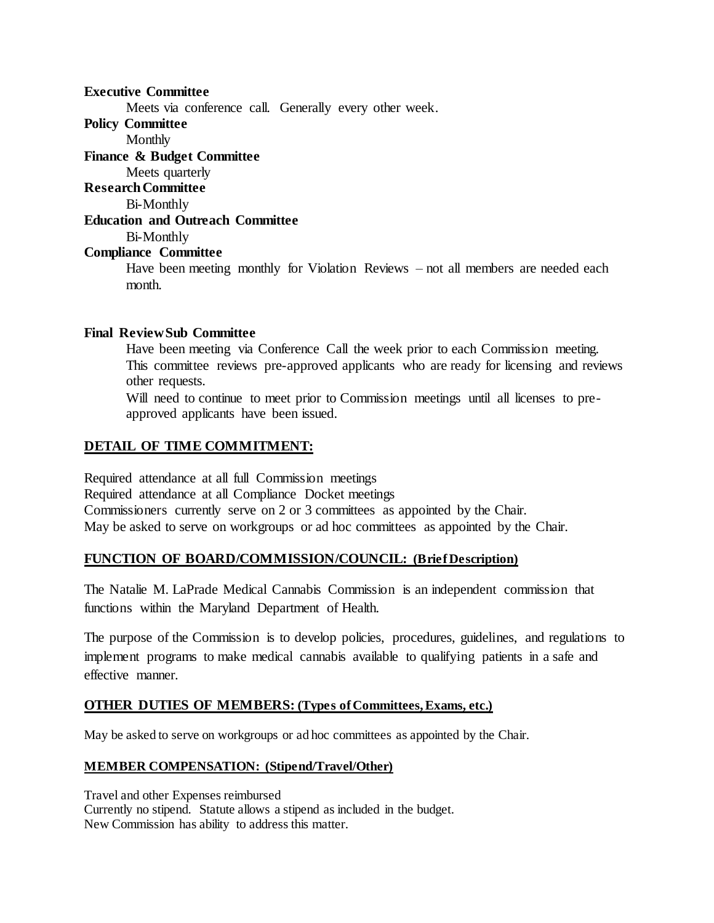**Executive Committee**

Meets via conference call. Generally every other week.

**Policy Committee**

Monthly

**Finance & Budget Committee**

Meets quarterly

**Research Committee**

Bi-Monthly

### **Education and Outreach Committee**

Bi-Monthly

#### **Compliance Committee**

Have been meeting monthly for Violation Reviews – not all members are needed each month.

#### **Final Review Sub Committee**

Have been meeting via Conference Call the week prior to each Commission meeting. This committee reviews pre-approved applicants who are ready for licensing and reviews other requests.

Will need to continue to meet prior to Commission meetings until all licenses to preapproved applicants have been issued.

# **DETAIL OF TIME COMMITMENT:**

Required attendance at all full Commission meetings Required attendance at all Compliance Docket meetings Commissioners currently serve on 2 or 3 committees as appointed by the Chair. May be asked to serve on workgroups or ad hoc committees as appointed by the Chair.

#### **FUNCTION OF BOARD/COMMISSION/COUNCIL: (Brief Description)**

The Natalie M. LaPrade Medical Cannabis Commission is an independent commission that functions within the Maryland Department of Health.

The purpose of the Commission is to develop policies, procedures, guidelines, and regulations to implement programs to make medical cannabis available to qualifying patients in a safe and effective manner.

## **OTHER DUTIES OF MEMBERS: (Types of Committees, Exams, etc.)**

May be asked to serve on workgroups or ad hoc committees as appointed by the Chair.

#### **MEMBER COMPENSATION: (Stipend/Travel/Other)**

Travel and other Expenses reimbursed Currently no stipend. Statute allows a stipend as included in the budget. New Commission has ability to address this matter.